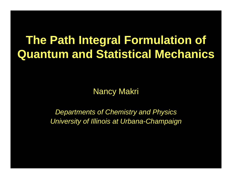# **The Path Integral Formulation of Quantum and Statistical Mechanics**

Nancy Makri

*Departments of Chemistry and Physics University of Illinois at Urbana-Champaign*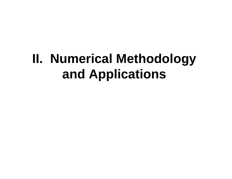# **II. Numerical Methodology and Applications**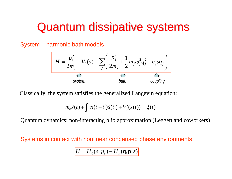# Quantum dissipative systems

System – harmonic bath models

$$
H = \frac{p_s^2}{2m_0} + V_0(s) + \sum_j \left(\frac{p_j^2}{2m_j} + \frac{1}{2}m_j\omega_j^2 q_j^2 - c_j s q_j\right)
$$
  
\n
$$
\underbrace{\Omega}_{\text{System}}
$$

Classically, the system satisfies the generalized Langevin equation:

$$
m_0 \ddot{s}(t) + \int_0^t \eta(t - t') \dot{s}(t') + V'_0(s(t)) = \xi(t)
$$

Quantum dynamics: non-interacting blip approximation (Leggett and coworkers)

Systems in contact with nonlinear condensed phase environments

$$
H = H_0(s, p_s) + H_b(\mathbf{q}, \mathbf{p}, s)
$$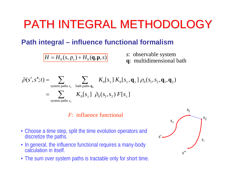# PATH INTEGRAL METHODOLOGY

### **Path integral – influence functional formalism**

 $H = H_0(s, p_s) + H_b(q, p, s)$ 

- *<sup>s</sup>*: observable system
- **q**: multidimensional bath



#### *F*: influence functional

- Choose a time step, split the time evolution operators and discretize the paths.
- In general, the influence functional requires a many-body calculation in itself.
- The sum over system paths is tractable only for short time.

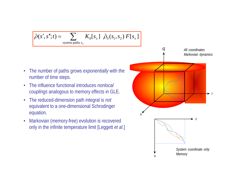$$
\widetilde{\rho}(s',s'';t) = \sum_{\text{system paths }s_{\pm}} K_0[s_{\pm}] \widetilde{\rho}_0(s_1,s_2) F[s_{\pm}]
$$

- • The number of paths grows *exponentially* with the number of time steps.
- • The influence functional introduces *nonlocal couplings* analogous to memory effects in GLE.
- The reduced-dimension path integral is *not* equivalent to a one-dimensional Schrodinger equation.
- • Markovian (memory-free) evolution is recovered only in the infinite temperature limit [Leggett *et al*.]

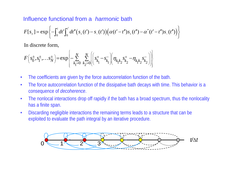#### Influence functional from a *harmonic* bath

$$
F[s_{\pm}] = \exp\left\{-\int_0^t dt'\int_0^{t'} dt''\big(s_{+}(t') - s_{-}(t')\big)\big(\alpha(t'-t'')s_{+}(t'') - \alpha^{*}(t'-t'')s_{-}(t'')\big)\right\}
$$

In discrete form,

$$
F\left(s_0^{\pm}, s_1^{\pm}, \ldots s_N^{\pm}\right) = \exp\left\{-\sum_{k_1=0}^N \sum_{k_2=0}^N \left[\left(s_{k_1}^{\pm} - s_{k_1}^{\pm}\right) \left(\eta_{k_1 k_2} s_{k_2}^{\pm} - \eta_{k_1 k_2} s_{k_2}^{\pm}\right)\right]\right\}
$$

- •The coefficients are given by the force autocorrelation function of the bath.
- • The force autocorrelation function of the dissipative bath decays with time. This behavior is a consequence of *decoherence*.
- • The nonlocal interactions drop off rapidly if the bath has a broad spectrum, thus the nonlocality has a finite span.
- • Discarding negligible interactions the remaining terms leads to a structure that can be exploited to evaluate the path integral by an iterative procedure.

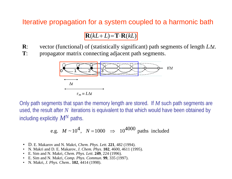#### Iterative propagation for a system coupled to a harmonic bath

### $\mathbf{R}(kL+L) = \mathbf{T} \cdot \mathbf{R}(kL)$

- **R**: vector (functional) of (statistically significant) path segments of length *L* Δ *t*.
- **T**: propagator matrix connecting adjacent path segments.



Only path segments that span the memory length are stored. If *M* such path segments are used, the result after  $N$  iterations is equivalent to that which would have been obtained by including explicitly  $M\hspace{-1.45pt}N$  paths.

e.g. 
$$
M \sim 10^4
$$
,  $N = 1000 \Rightarrow 10^{4000}$  paths included

- D. E. Makarov and N. Makri, *Chem. Phys. Lett.* **221**, 482 (1994).
- N. Makri and D. E. Makarov, *J. Chem. Phys*. **102**, 4600, 4611 (1995).
- E. Sim and N. Makri, *Chem. Phys. Lett*. **249**, 224 (1996).
- E. Sim and N. Makri, *Comp. Phys. Commun*. **99**, 335 (1997).
- $\bullet$ N. Makri, *J. Phys. Chem..* **102**, 4414 (1998).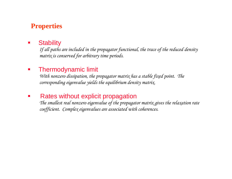### **Properties**

#### $\mathcal{L}$ **Stability**

*If all paths are included in the propagator functional, the trace of the reduced density matrix is conserved for arbitrary time periods.*

#### $\mathcal{L}_{\mathcal{A}}$ Thermodynamic limit

*With nonzero dissipation, the propagator matrix has a stable fixed point. The corresponding eigenvalue yields the equilibrium density matrix.*

#### T. Rates without explicit propagation

*The smallest real nonzero eigenvalue of the propagator matrix gives the relaxation rate coefficient. Complex eigenvalues are associated with coherences.*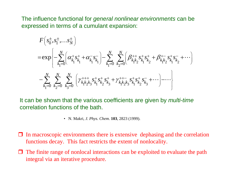The influence functional for *general nonlinear environments* can be expressed in terms of a cumulant expansion:

$$
F(s_0^{\pm}, s_1^{\pm}, \ldots, s_N^{\pm})
$$
\n
$$
= \exp\left\{-\sum_{k_1=0}^N \left(\alpha_{k_1}^+ s_{k_1}^+ + \alpha_{k_1}^- s_{k_1}^- \right) - \sum_{k_1=0}^N \sum_{k_2=0}^N \left(\beta_{k_1 k_2}^{++} s_{k_1}^+ s_{k_2}^+ + \beta_{k_1 k_2}^+ s_{k_1}^+ s_{k_2}^- + \cdots \right) \right\}
$$
\n
$$
- \sum_{k_1=0}^N \sum_{k_2=0}^N \sum_{k_3=0}^N \left(\gamma_{k_1 k_2 k_3}^{+++} s_{k_1}^+ s_{k_2}^+ s_{k_3}^+ + \gamma_{k_1 k_2 k_3}^{++-} s_{k_1}^+ s_{k_2}^+ s_{k_3}^- + \cdots \right) - \cdots \right\}
$$

It can be shown that the various coefficients are given by *multi-time* correlation functions of the bath.

- N. Makri, *J. Phys. Chem*. **103**, 2823 (1999).
- $\Box$  In macroscopic environments there is extensive dephasing and the correlation functions decay. This fact restricts the extent of nonlocality.
- $\Box$  The finite range of nonlocal interactions can be exploited to evaluate the path integral via an iterative procedure.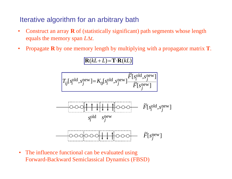### Iterative algorithm for an arbitrary bath

- $\bullet$  Construct an array **R** of (statistically significant) path segments whose length equals the memory span *L* Δ *t*.
- •Propagate **R** by one memory length by multiplying with a propagator matrix **T**.

### $\mathbf{R}(kL+L) = \mathbf{T} \cdot \mathbf{R}(kL)$

$$
T_{ij}[s_i^{\text{old}}, s_j^{\text{new}}] = K_0[s_i^{\text{old}}, s_j^{\text{new}}] \frac{\widetilde{F}[s_i^{\text{old}}, s_j^{\text{new}}]}{\widetilde{F}[s_j^{\text{new}}]}
$$





 $\bullet$  The influence functional can be evaluated using Forward-Backward Semiclassical Dynamics (FBSD)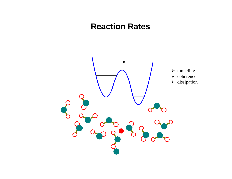## **Reaction Rates**

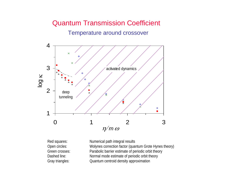## Quantum Transmission Coefficient Temperature around crossover



Red squares: Numerical path integral results Open circles: Wolynes correction factor (quantum Grote Hynes theory) Green crosses: Parabolic barrier estimate of periodic orbit theory Dashed line: Normal mode estimate of periodic orbit theory Gray triangles: Quantum centroid density approximation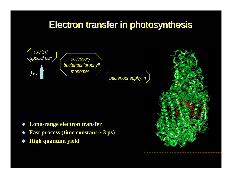## Electron transfer in photosynthesis Electron transfer in photosynthesis





- ♦ **Long-range electron transfer**
- ♦ **Fast process (time constant ~ 3 ps)**
- ♦ **High quantum yield**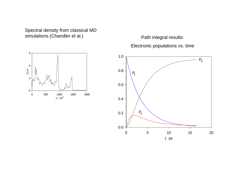Spectral density from classical MD simulations (Chandler et al.)



Path integral results: Electronic populations vs. time

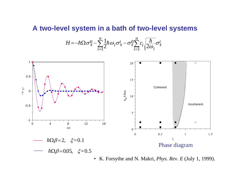#### **A two-level system in a bath of two-level systems**

$$
H = -\hbar\Omega\sigma_x^0 - \sum_{i=1}^n \frac{1}{2}\hbar\omega_i\sigma_x^i - \sigma_z^0 \sum_{i=1}^n c_i \sqrt{\frac{\hbar}{2\omega_i}}\sigma_z^i
$$



• K. Forsythe and N. Makri, *Phys. Rev. E* (July 1, 1999).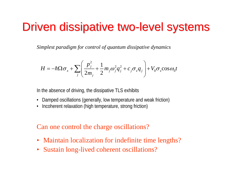# Driven dissipative two-level systems

*Simplest paradigm for control of quantum dissipative dynamics*

$$
H = -\hbar\Omega\sigma_x + \sum_j \left(\frac{p_j^2}{2m_j} + \frac{1}{2}m_j\omega_j^2q_j^2 + c_j\sigma_zq_j\right) + V_0\sigma_z\cos\omega_0t
$$

In the absence of driving, the dissipative TLS exhibits

- Damped oscillations (generally, low temperature and weak friction)
- •Incoherent relaxation (high temperature, strong friction)

Can one control the charge oscillations?

- •Maintain localization for indefinite time lengths?
- •Sustain long-lived coherent oscillations?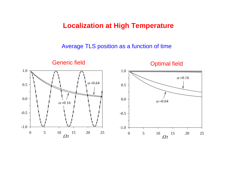#### **Localization at High Temperature**

Average TLS position as a function of time

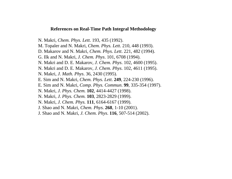#### **References on Real-Time Path Integral Methodology**

N. Makri, *Chem. Phys. Lett*. 193, 435 (1992).

- M. Topaler and N. Makri, *Chem. Phys. Lett*. 210, 448 (1993).
- D. Makarov and N. Makri, *Chem. Phys. Lett*. 221, 482 (1994).
- G. Ilk and N. Makri, *J. Chem. Phys*. 101, 6708 (1994).
- N. Makri and D. E. Makarov, *J. Chem. Phys*. 102, 4600 (1995).
- N. Makri and D. E. Makarov, *J. Chem. Phys*. 102, 4611 (1995).
- N. Makri, *J. Math. Phys*. 36, 2430 (1995).
- E. Sim and N. Makri, *Chem. Phys. Lett*. **249**, 224-230 (1996).
- E. Sim and N. Makri, *Comp. Phys. Commun*. **99**, 335-354 (1997).
- N. Makri, *J. Phys. Chem.* **102**, 4414-4427 (1998).
- N. Makri, *J. Phys. Chem.* **103**, 2823-2829 (1999).
- N. Makri, *J. Chem. Phys.* **111**, 6164-6167 (1999).
- J. Shao and N. Makri, *Chem. Phys.* **268**, 1-10 (2001).
- J. Shao and N. Makri, *J. Chem. Phys*. **116**, 507-514 (2002).